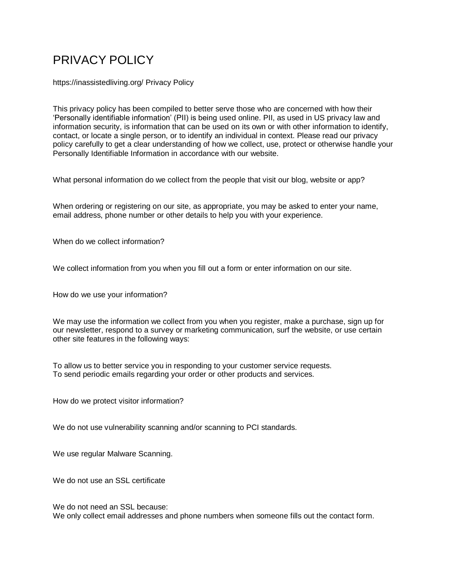# PRIVACY POLICY

<https://inassistedliving.org/> Privacy Policy

This privacy policy has been compiled to better serve those who are concerned with how their 'Personally identifiable information' (PII) is being used online. PII, as used in US privacy law and information security, is information that can be used on its own or with other information to identify, contact, or locate a single person, or to identify an individual in context. Please read our privacy policy carefully to get a clear understanding of how we collect, use, protect or otherwise handle your Personally Identifiable Information in accordance with our website.

What personal information do we collect from the people that visit our blog, website or app?

When ordering or registering on our site, as appropriate, you may be asked to enter your name, email address, phone number or other details to help you with your experience.

When do we collect information?

We collect information from you when you fill out a form or enter information on our site.

How do we use your information?

We may use the information we collect from you when you register, make a purchase, sign up for our newsletter, respond to a survey or marketing communication, surf the website, or use certain other site features in the following ways:

To allow us to better service you in responding to your customer service requests. To send periodic emails regarding your order or other products and services.

How do we protect visitor information?

We do not use vulnerability scanning and/or scanning to PCI standards.

We use regular Malware Scanning.

We do not use an SSL certificate

We do not need an SSL because: We only collect email addresses and phone numbers when someone fills out the contact form.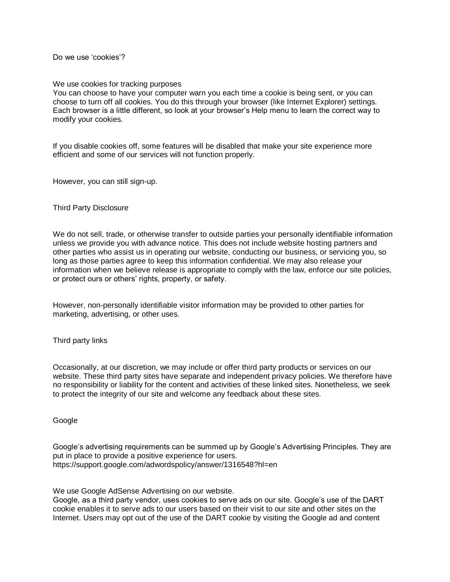Do we use 'cookies'?

### We use cookies for tracking purposes

You can choose to have your computer warn you each time a cookie is being sent, or you can choose to turn off all cookies. You do this through your browser (like Internet Explorer) settings. Each browser is a little different, so look at your browser's Help menu to learn the correct way to modify your cookies.

If you disable cookies off, some features will be disabled that make your site experience more efficient and some of our services will not function properly.

However, you can still sign-up.

## Third Party Disclosure

We do not sell, trade, or otherwise transfer to outside parties your personally identifiable information unless we provide you with advance notice. This does not include website hosting partners and other parties who assist us in operating our website, conducting our business, or servicing you, so long as those parties agree to keep this information confidential. We may also release your information when we believe release is appropriate to comply with the law, enforce our site policies, or protect ours or others' rights, property, or safety.

However, non-personally identifiable visitor information may be provided to other parties for marketing, advertising, or other uses.

### Third party links

Occasionally, at our discretion, we may include or offer third party products or services on our website. These third party sites have separate and independent privacy policies. We therefore have no responsibility or liability for the content and activities of these linked sites. Nonetheless, we seek to protect the integrity of our site and welcome any feedback about these sites.

### Google

Google's advertising requirements can be summed up by Google's Advertising Principles. They are put in place to provide a positive experience for users. https://support.google.com/adwordspolicy/answer/1316548?hl=en

We use Google AdSense Advertising on our website.

Google, as a third party vendor, uses cookies to serve ads on our site. Google's use of the DART cookie enables it to serve ads to our users based on their visit to our site and other sites on the Internet. Users may opt out of the use of the DART cookie by visiting the Google ad and content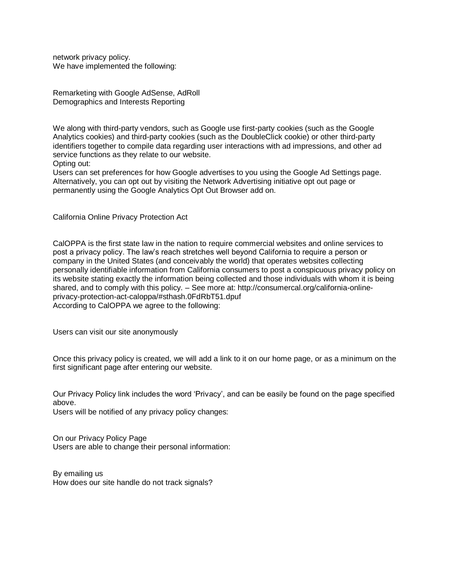network privacy policy. We have implemented the following:

Remarketing with Google AdSense, AdRoll Demographics and Interests Reporting

We along with third-party vendors, such as Google use first-party cookies (such as the Google Analytics cookies) and third-party cookies (such as the DoubleClick cookie) or other third-party identifiers together to compile data regarding user interactions with ad impressions, and other ad service functions as they relate to our website. Opting out:

Users can set preferences for how Google advertises to you using the Google Ad Settings page. Alternatively, you can opt out by visiting the Network Advertising initiative opt out page or permanently using the Google Analytics Opt Out Browser add on.

California Online Privacy Protection Act

CalOPPA is the first state law in the nation to require commercial websites and online services to post a privacy policy. The law's reach stretches well beyond California to require a person or company in the United States (and conceivably the world) that operates websites collecting personally identifiable information from California consumers to post a conspicuous privacy policy on its website stating exactly the information being collected and those individuals with whom it is being shared, and to comply with this policy. – See more at: http://consumercal.org/california-onlineprivacy-protection-act-caloppa/#sthash.0FdRbT51.dpuf According to CalOPPA we agree to the following:

Users can visit our site anonymously

Once this privacy policy is created, we will add a link to it on our home page, or as a minimum on the first significant page after entering our website.

Our Privacy Policy link includes the word 'Privacy', and can be easily be found on the page specified above.

Users will be notified of any privacy policy changes:

On our Privacy Policy Page Users are able to change their personal information:

By emailing us How does our site handle do not track signals?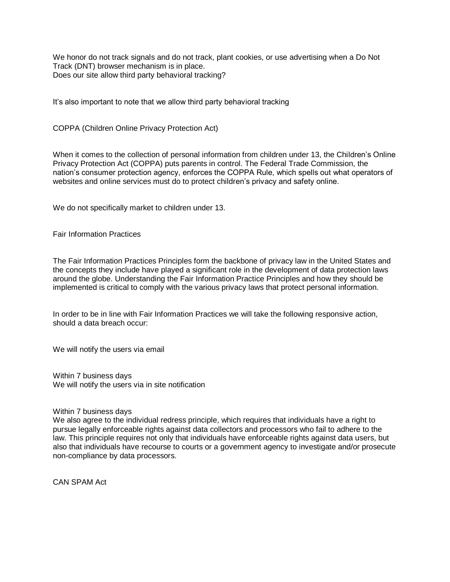We honor do not track signals and do not track, plant cookies, or use advertising when a Do Not Track (DNT) browser mechanism is in place. Does our site allow third party behavioral tracking?

It's also important to note that we allow third party behavioral tracking

COPPA (Children Online Privacy Protection Act)

When it comes to the collection of personal information from children under 13, the Children's Online Privacy Protection Act (COPPA) puts parents in control. The Federal Trade Commission, the nation's consumer protection agency, enforces the COPPA Rule, which spells out what operators of websites and online services must do to protect children's privacy and safety online.

We do not specifically market to children under 13.

Fair Information Practices

The Fair Information Practices Principles form the backbone of privacy law in the United States and the concepts they include have played a significant role in the development of data protection laws around the globe. Understanding the Fair Information Practice Principles and how they should be implemented is critical to comply with the various privacy laws that protect personal information.

In order to be in line with Fair Information Practices we will take the following responsive action, should a data breach occur:

We will notify the users via email

Within 7 business days We will notify the users via in site notification

#### Within 7 business days

We also agree to the individual redress principle, which requires that individuals have a right to pursue legally enforceable rights against data collectors and processors who fail to adhere to the law. This principle requires not only that individuals have enforceable rights against data users, but also that individuals have recourse to courts or a government agency to investigate and/or prosecute non-compliance by data processors.

CAN SPAM Act